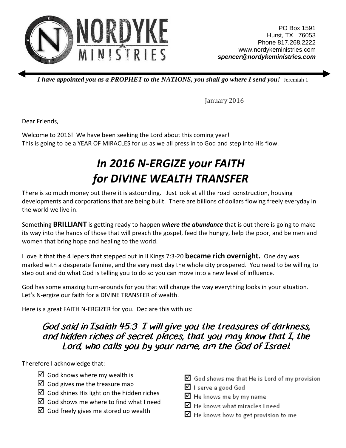

*I have appointed you as a PROPHET to the NATIONS, you shall go where I send you! Jeremiah 1* 

January 2016

Dear Friends,

Welcome to 2016! We have been seeking the Lord about this coming year! This is going to be a YEAR OF MIRACLES for us as we all press in to God and step into His flow.

## In 2016 N-ERGIZE your FAITH for DIVINE WEALTH TRANSFER

There is so much money out there it is astounding. Just look at all the road construction, housing developments and corporations that are being built. There are billions of dollars flowing freely everyday in the world we live in.

Something **BRILLIANT** is getting ready to happen *where the abundance* that is out there is going to make its way into the hands of those that will preach the gospel, feed the hungry, help the poor, and be men and women that bring hope and healing to the world.

I love it that the 4 lepers that stepped out in II Kings 7:3-20 **became rich overnight.** One day was marked with a desperate famine, and the very next day the whole city prospered. You need to be willing to step out and do what God is telling you to do so you can move into a new level of influence.

God has some amazing turn-arounds for you that will change the way everything looks in your situation. Let's N-ergize our faith for a DIVINE TRANSFER of wealth.

Here is a great FAITH N-ERGIZER for you. Declare this with us:

## God said in Isaiah 45:3 I will give you the treasures of darkness, and hidden riches of secret places, that you may know that I, the Lord, who calls you by your name, am the God of Israel.

Therefore I acknowledge that:

- $\boxtimes$  God knows where my wealth is
- $\boxtimes$  God gives me the treasure map
- $\boxtimes$  God shines His light on the hidden riches
- $\boxtimes$  God shows me where to find what I need
- $\boxtimes$  God freely gives me stored up wealth
- $\boxtimes$  God shows me that He is Lord of my provision
- ☑ I serve a good God
- $\boxtimes$  He knows me by my name
- $\boxtimes$  He knows what miracles I need
- $\boxtimes$  He knows how to get provision to me